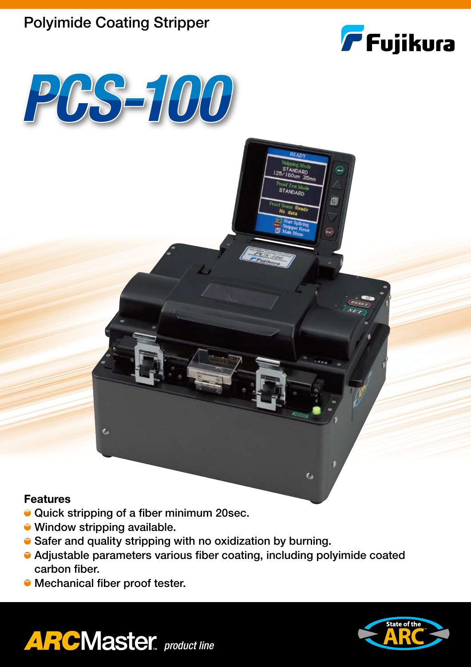# Polyimide Coating Stripper



**STANDARD** 

 $\bullet$ 

闯



## **Features**

- Quick stripping of a fiber minimum 20sec.
- Window stripping available.

 $\bullet$ 

- Safer and quality stripping with no oxidization by burning.
- Adjustable parameters various fiber coating, including polyimide coated carbon fiber.
- Mechanical fiber proof tester.